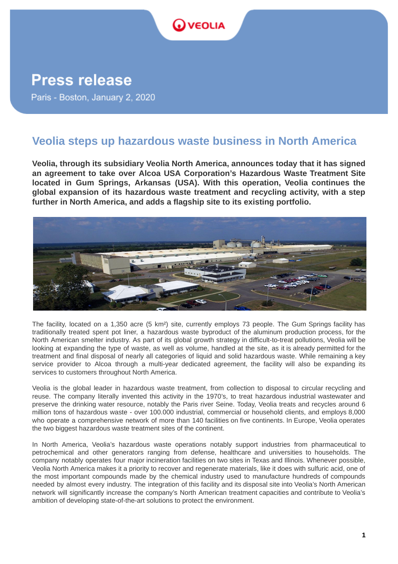

## **Press release**

Paris - Boston, January 2, 2020

## **Veolia steps up hazardous waste business in North America**

**Veolia, through its subsidiary Veolia North America, announces today that it has signed an agreement to take over Alcoa USA Corporation's Hazardous Waste Treatment Site located in Gum Springs, Arkansas (USA). With this operation, Veolia continues the global expansion of its hazardous waste treatment and recycling activity, with a step further in North America, and adds a flagship site to its existing portfolio.** 



The facility, located on a 1,350 acre (5 km²) site, currently employs 73 people. The Gum Springs facility has traditionally treated spent pot liner, a hazardous waste byproduct of the aluminum production process, for the North American smelter industry. As part of its global growth strategy in difficult-to-treat pollutions, Veolia will be looking at expanding the type of waste, as well as volume, handled at the site, as it is already permitted for the treatment and final disposal of nearly all categories of liquid and solid hazardous waste. While remaining a key service provider to Alcoa through a multi-year dedicated agreement, the facility will also be expanding its services to customers throughout North America.

Veolia is the global leader in hazardous waste treatment, from collection to disposal to circular recycling and reuse. The company literally invented this activity in the 1970's, to treat hazardous industrial wastewater and preserve the drinking water resource, notably the Paris river Seine. Today, Veolia treats and recycles around 6 million tons of hazardous waste - over 100.000 industrial, commercial or household clients, and employs 8,000 who operate a comprehensive network of more than 140 facilities on five continents. In Europe, Veolia operates the two biggest hazardous waste treatment sites of the continent.

In North America, Veolia's hazardous waste operations notably support industries from pharmaceutical to petrochemical and other generators ranging from defense, healthcare and universities to households. The company notably operates four major incineration facilities on two sites in Texas and Illinois. Whenever possible, Veolia North America makes it a priority to recover and regenerate materials, like it does with sulfuric acid, one of the most important compounds made by the chemical industry used to manufacture hundreds of compounds needed by almost every industry. The integration of this facility and its disposal site into Veolia's North American network will significantly increase the company's North American treatment capacities and contribute to Veolia's ambition of developing state-of-the-art solutions to protect the environment.